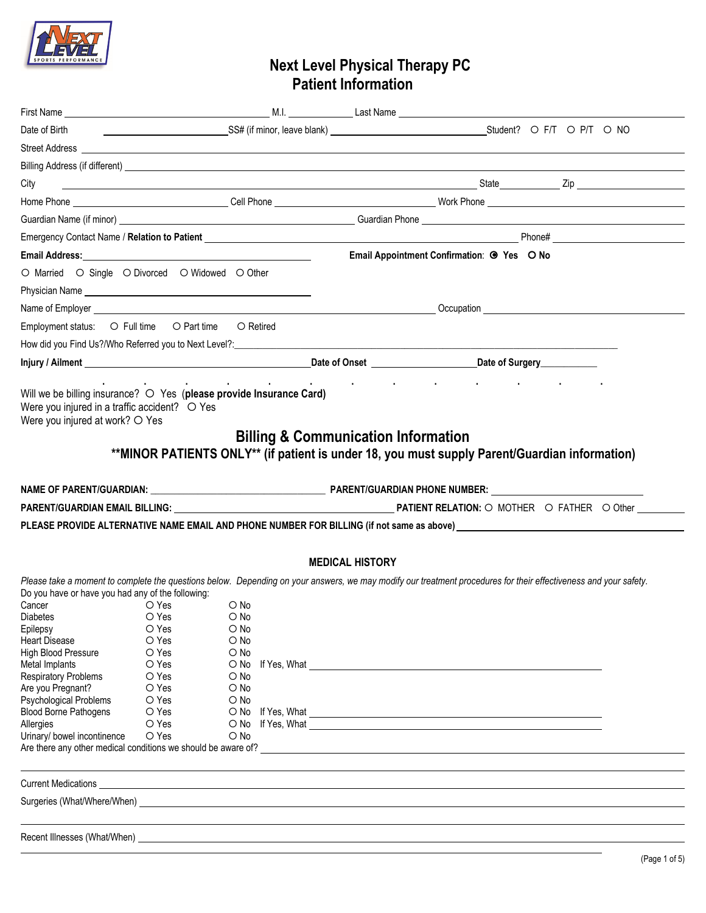

# **Next Level Physical Therapy PC Patient Information**

| Date of Birth                                                                                                                                                                                                                                                                                                                                         |                                                                                                                   |                                                                                                                                                            |                                                                                                                                                                                                                                                                                                                                                                                                                                                                             |                                                                                                                                                                                                                                |  |  |  |  |  |
|-------------------------------------------------------------------------------------------------------------------------------------------------------------------------------------------------------------------------------------------------------------------------------------------------------------------------------------------------------|-------------------------------------------------------------------------------------------------------------------|------------------------------------------------------------------------------------------------------------------------------------------------------------|-----------------------------------------------------------------------------------------------------------------------------------------------------------------------------------------------------------------------------------------------------------------------------------------------------------------------------------------------------------------------------------------------------------------------------------------------------------------------------|--------------------------------------------------------------------------------------------------------------------------------------------------------------------------------------------------------------------------------|--|--|--|--|--|
|                                                                                                                                                                                                                                                                                                                                                       |                                                                                                                   |                                                                                                                                                            |                                                                                                                                                                                                                                                                                                                                                                                                                                                                             |                                                                                                                                                                                                                                |  |  |  |  |  |
|                                                                                                                                                                                                                                                                                                                                                       |                                                                                                                   |                                                                                                                                                            |                                                                                                                                                                                                                                                                                                                                                                                                                                                                             |                                                                                                                                                                                                                                |  |  |  |  |  |
| City                                                                                                                                                                                                                                                                                                                                                  |                                                                                                                   |                                                                                                                                                            |                                                                                                                                                                                                                                                                                                                                                                                                                                                                             |                                                                                                                                                                                                                                |  |  |  |  |  |
|                                                                                                                                                                                                                                                                                                                                                       |                                                                                                                   |                                                                                                                                                            |                                                                                                                                                                                                                                                                                                                                                                                                                                                                             |                                                                                                                                                                                                                                |  |  |  |  |  |
|                                                                                                                                                                                                                                                                                                                                                       |                                                                                                                   |                                                                                                                                                            |                                                                                                                                                                                                                                                                                                                                                                                                                                                                             |                                                                                                                                                                                                                                |  |  |  |  |  |
|                                                                                                                                                                                                                                                                                                                                                       |                                                                                                                   |                                                                                                                                                            |                                                                                                                                                                                                                                                                                                                                                                                                                                                                             |                                                                                                                                                                                                                                |  |  |  |  |  |
|                                                                                                                                                                                                                                                                                                                                                       |                                                                                                                   |                                                                                                                                                            |                                                                                                                                                                                                                                                                                                                                                                                                                                                                             |                                                                                                                                                                                                                                |  |  |  |  |  |
|                                                                                                                                                                                                                                                                                                                                                       |                                                                                                                   |                                                                                                                                                            |                                                                                                                                                                                                                                                                                                                                                                                                                                                                             | Email Appointment Confirmation: @ Yes O No                                                                                                                                                                                     |  |  |  |  |  |
| O Married O Single O Divorced O Widowed O Other                                                                                                                                                                                                                                                                                                       |                                                                                                                   |                                                                                                                                                            |                                                                                                                                                                                                                                                                                                                                                                                                                                                                             |                                                                                                                                                                                                                                |  |  |  |  |  |
| Physician Name Name and the state of the state of the state of the state of the state of the state of the state of the state of the state of the state of the state of the state of the state of the state of the state of the                                                                                                                        |                                                                                                                   |                                                                                                                                                            |                                                                                                                                                                                                                                                                                                                                                                                                                                                                             |                                                                                                                                                                                                                                |  |  |  |  |  |
|                                                                                                                                                                                                                                                                                                                                                       |                                                                                                                   |                                                                                                                                                            |                                                                                                                                                                                                                                                                                                                                                                                                                                                                             |                                                                                                                                                                                                                                |  |  |  |  |  |
| Employment status: O Full time O Part time O Retired                                                                                                                                                                                                                                                                                                  |                                                                                                                   |                                                                                                                                                            |                                                                                                                                                                                                                                                                                                                                                                                                                                                                             |                                                                                                                                                                                                                                |  |  |  |  |  |
|                                                                                                                                                                                                                                                                                                                                                       |                                                                                                                   |                                                                                                                                                            |                                                                                                                                                                                                                                                                                                                                                                                                                                                                             |                                                                                                                                                                                                                                |  |  |  |  |  |
|                                                                                                                                                                                                                                                                                                                                                       |                                                                                                                   |                                                                                                                                                            |                                                                                                                                                                                                                                                                                                                                                                                                                                                                             |                                                                                                                                                                                                                                |  |  |  |  |  |
| Were you injured at work? O Yes                                                                                                                                                                                                                                                                                                                       |                                                                                                                   |                                                                                                                                                            | <b>Billing &amp; Communication Information</b>                                                                                                                                                                                                                                                                                                                                                                                                                              | **MINOR PATIENTS ONLY** (if patient is under 18, you must supply Parent/Guardian information)                                                                                                                                  |  |  |  |  |  |
|                                                                                                                                                                                                                                                                                                                                                       |                                                                                                                   |                                                                                                                                                            |                                                                                                                                                                                                                                                                                                                                                                                                                                                                             |                                                                                                                                                                                                                                |  |  |  |  |  |
|                                                                                                                                                                                                                                                                                                                                                       |                                                                                                                   |                                                                                                                                                            | PARENT/GUARDIAN EMAIL BILLING: COMPARENT AND PATIENT RELATION: O MOTHER O FATHER O Other                                                                                                                                                                                                                                                                                                                                                                                    |                                                                                                                                                                                                                                |  |  |  |  |  |
|                                                                                                                                                                                                                                                                                                                                                       |                                                                                                                   |                                                                                                                                                            |                                                                                                                                                                                                                                                                                                                                                                                                                                                                             | PLEASE PROVIDE ALTERNATIVE NAME EMAIL AND PHONE NUMBER FOR BILLING (if not same as above) which are approximately assumed to the same as a short of the state of the state of the state of the state of the state of the state |  |  |  |  |  |
|                                                                                                                                                                                                                                                                                                                                                       |                                                                                                                   |                                                                                                                                                            |                                                                                                                                                                                                                                                                                                                                                                                                                                                                             |                                                                                                                                                                                                                                |  |  |  |  |  |
|                                                                                                                                                                                                                                                                                                                                                       |                                                                                                                   |                                                                                                                                                            | <b>MEDICAL HISTORY</b>                                                                                                                                                                                                                                                                                                                                                                                                                                                      |                                                                                                                                                                                                                                |  |  |  |  |  |
| Do you have or have you had any of the following:<br>Cancer<br>Diabetes <b>Diabetes</b><br>Epilepsy<br><b>Heart Disease</b><br>High Blood Pressure<br>Metal Implants<br><b>Respiratory Problems</b><br>Are you Pregnant?<br>Psychological Problems<br><b>Blood Borne Pathogens</b><br>Allergies<br>Urinary/ bowel incontinence<br>Current Medications | O Yes<br>O Yes<br>O Yes<br>$\bigcirc$ Yes<br>O Yes<br>O Yes<br>O Yes<br>O Yes<br>O Yes<br>O Yes<br>O Yes<br>O Yes | $\circ$ No<br>$\circ$ No<br>$\bigcirc$ No<br>$\bigcirc$ No<br>$\bigcirc$ No<br>$\circ$ No<br>$\bigcirc$ No<br>$\circ$ No<br>$\bigcirc$ No<br>$\bigcirc$ No | If Yes, What is a state of the state of the state of the state of the state of the state of the state of the state of the state of the state of the state of the state of the state of the state of the state of the state of<br>and the control of the control of the control of the control of the control of the control of the control of the<br><u> 1989 - Johann Stoff, deutscher Stoffen und der Stoffen und der Stoffen und der Stoffen und der Stoffen und der</u> | Please take a moment to complete the questions below. Depending on your answers, we may modify our treatment procedures for their effectiveness and your safety.                                                               |  |  |  |  |  |
|                                                                                                                                                                                                                                                                                                                                                       |                                                                                                                   |                                                                                                                                                            |                                                                                                                                                                                                                                                                                                                                                                                                                                                                             |                                                                                                                                                                                                                                |  |  |  |  |  |
|                                                                                                                                                                                                                                                                                                                                                       |                                                                                                                   |                                                                                                                                                            |                                                                                                                                                                                                                                                                                                                                                                                                                                                                             |                                                                                                                                                                                                                                |  |  |  |  |  |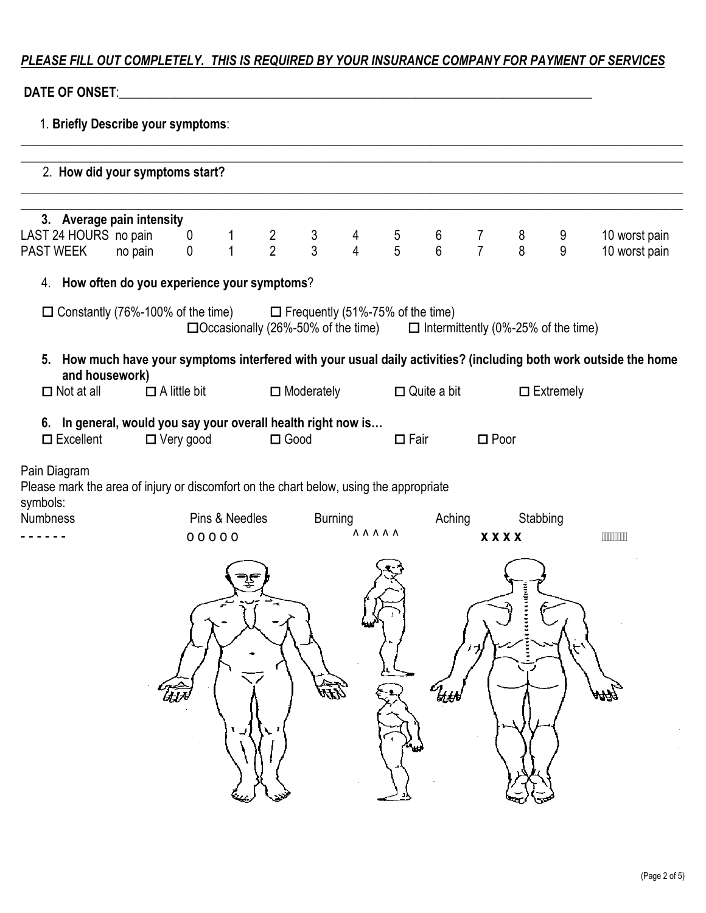# *PLEASE FILL OUT COMPLETELY. THIS IS REQUIRED BY YOUR INSURANCE COMPANY FOR PAYMENT OF SERVICES*

## **DATE OF ONSET:**

| 1. Briefly Describe your symptoms:                                                                                                    |         |                     |                |                                                                                      |                   |                                       |                                         |                                       |                     |                         |                  |                                                                                                                   |  |
|---------------------------------------------------------------------------------------------------------------------------------------|---------|---------------------|----------------|--------------------------------------------------------------------------------------|-------------------|---------------------------------------|-----------------------------------------|---------------------------------------|---------------------|-------------------------|------------------|-------------------------------------------------------------------------------------------------------------------|--|
| 2. How did your symptoms start?                                                                                                       |         |                     |                |                                                                                      |                   |                                       |                                         |                                       |                     |                         |                  |                                                                                                                   |  |
| 3. Average pain intensity<br>LAST 24 HOURS no pain<br><b>PAST WEEK</b>                                                                | no pain | 0<br>$\mathbf 0$    | $\overline{1}$ | $\frac{2}{2}$                                                                        | $\frac{3}{3}$     | $\begin{array}{c} 4 \\ 4 \end{array}$ | $\frac{5}{5}$                           | $\begin{array}{c} 6 \\ 6 \end{array}$ | 7<br>$\overline{7}$ | 8<br>8                  | 9<br>9           | 10 worst pain<br>10 worst pain                                                                                    |  |
| 4. How often do you experience your symptoms?                                                                                         |         |                     |                |                                                                                      |                   |                                       |                                         |                                       |                     |                         |                  |                                                                                                                   |  |
| $\Box$ Constantly (76%-100% of the time)                                                                                              |         |                     |                | $\Box$ Occasionally (26%-50% of the time) $\Box$ Intermittently (0%-25% of the time) |                   |                                       | $\Box$ Frequently (51%-75% of the time) |                                       |                     |                         |                  |                                                                                                                   |  |
| and housework)                                                                                                                        |         |                     |                |                                                                                      |                   |                                       |                                         |                                       |                     |                         |                  | 5. How much have your symptoms interfered with your usual daily activities? (including both work outside the home |  |
| $\Box$ Not at all                                                                                                                     |         | $\Box$ A little bit |                |                                                                                      | $\Box$ Moderately |                                       |                                         | $\Box$ Quite a bit                    |                     |                         | $\Box$ Extremely |                                                                                                                   |  |
| 6. In general, would you say your overall health right now is<br>$\square$ Excellent                                                  |         | $\Box$ Very good    |                | $\Box$ Good                                                                          |                   |                                       | $\Box$ Fair                             |                                       | $\square$ Poor      |                         |                  |                                                                                                                   |  |
| Pain Diagram<br>Please mark the area of injury or discomfort on the chart below, using the appropriate<br>symbols:<br><b>Numbness</b> |         | 00000               | Pins & Needles |                                                                                      | <b>Burning</b>    | <b>AAAAA</b>                          |                                         | Aching                                |                     | Stabbing<br><b>XXXX</b> |                  | <b>FILITING</b>                                                                                                   |  |
|                                                                                                                                       |         | ŨЛ                  |                |                                                                                      | EFF)              | لغانا                                 | $\mathbf{v}_{\mathbf{w}}$               | $\mathcal{T}_{\text{t}}$              |                     |                         |                  | hФ                                                                                                                |  |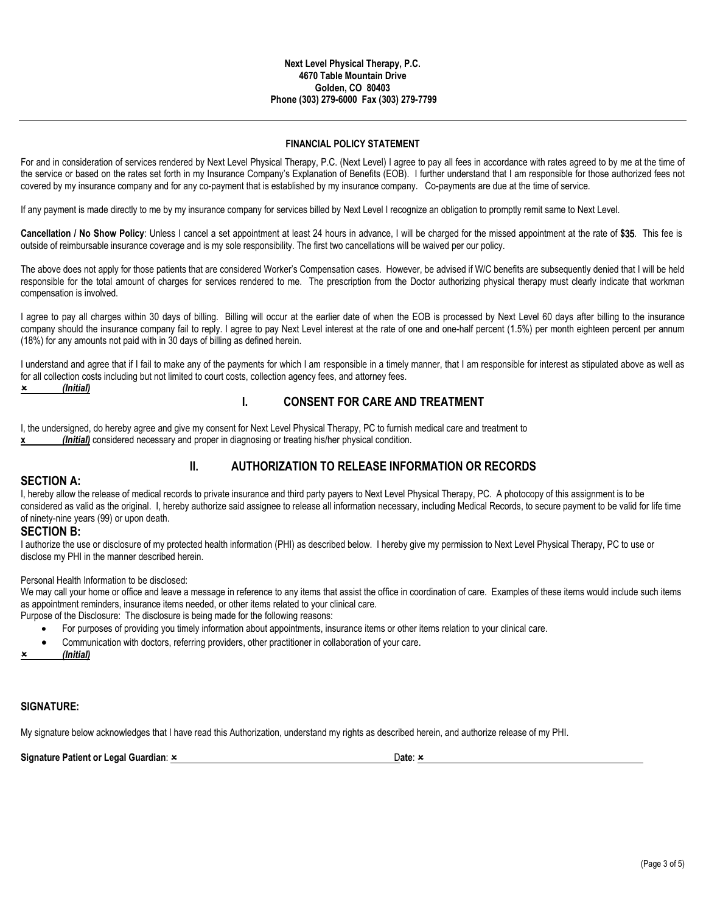#### **FINANCIAL POLICY STATEMENT**

For and in consideration of services rendered by Next Level Physical Therapy, P.C. (Next Level) I agree to pay all fees in accordance with rates agreed to by me at the time of the service or based on the rates set forth in my Insurance Company's Explanation of Benefits (EOB). I further understand that I am responsible for those authorized fees not covered by my insurance company and for any co-payment that is established by my insurance company. Co-payments are due at the time of service.

If any payment is made directly to me by my insurance company for services billed by Next Level I recognize an obligation to promptly remit same to Next Level.

**Cancellation / No Show Policy**: Unless I cancel a set appointment at least 24 hours in advance, I will be charged for the missed appointment at the rate of **\$**35. This fee is outside of reimbursable insurance coverage and is my sole responsibility. The first two cancellations will be waived per our policy.

The above does not apply for those patients that are considered Worker's Compensation cases. However, be advised if W/C benefits are subsequently denied that I will be held responsible for the total amount of charges for services rendered to me. The prescription from the Doctor authorizing physical therapy must clearly indicate that workman compensation is involved.

I agree to pay all charges within 30 days of billing. Billing will occur at the earlier date of when the EOB is processed by Next Level 60 days after billing to the insurance company should the insurance company fail to reply. I agree to pay Next Level interest at the rate of one and one-half percent (1.5%) per month eighteen percent per annum (18%) for any amounts not paid with in 30 days of billing as defined herein.

I understand and agree that if I fail to make any of the payments for which I am responsible in a timely manner, that I am responsible for interest as stipulated above as well as for all collection costs including but not limited to court costs, collection agency fees, and attorney fees.

*(Initial)*

### **I. CONSENT FOR CARE AND TREATMENT**

I, the undersigned, do hereby agree and give my consent for Next Level Physical Therapy, PC to furnish medical care and treatment to **x** *(Initial)* considered necessary and proper in diagnosing or treating his/her physical condition.

### **II. AUTHORIZATION TO RELEASE INFORMATION OR RECORDS**

**SECTION A:**<br>I, hereby allow the release of medical records to private insurance and third party payers to Next Level Physical Therapy, PC. A photocopy of this assignment is to be considered as valid as the original. I, hereby authorize said assignee to release all information necessary, including Medical Records, to secure payment to be valid for life time of ninety-nine years (99) or upon death.

**SECTION B:**<br>I authorize the use or disclosure of my protected health information (PHI) as described below. I hereby give my permission to Next Level Physical Therapy, PC to use or disclose my PHI in the manner described herein.

#### Personal Health Information to be disclosed:

We may call your home or office and leave a message in reference to any items that assist the office in coordination of care. Examples of these items would include such items as appointment reminders, insurance items needed, or other items related to your clinical care.

Purpose of the Disclosure: The disclosure is being made for the following reasons:

- For purposes of providing you timely information about appointments, insurance items or other items relation to your clinical care.
- Communication with doctors, referring providers, other practitioner in collaboration of your care.

*(Initial)*

#### **SIGNATURE:**

My signature below acknowledges that I have read this Authorization, understand my rights as described herein, and authorize release of my PHI.

**Signature Patient or Legal Guardian:**  $\frac{x}{2}$  **Date: 2008 <b>Date: 2008** Date: 2008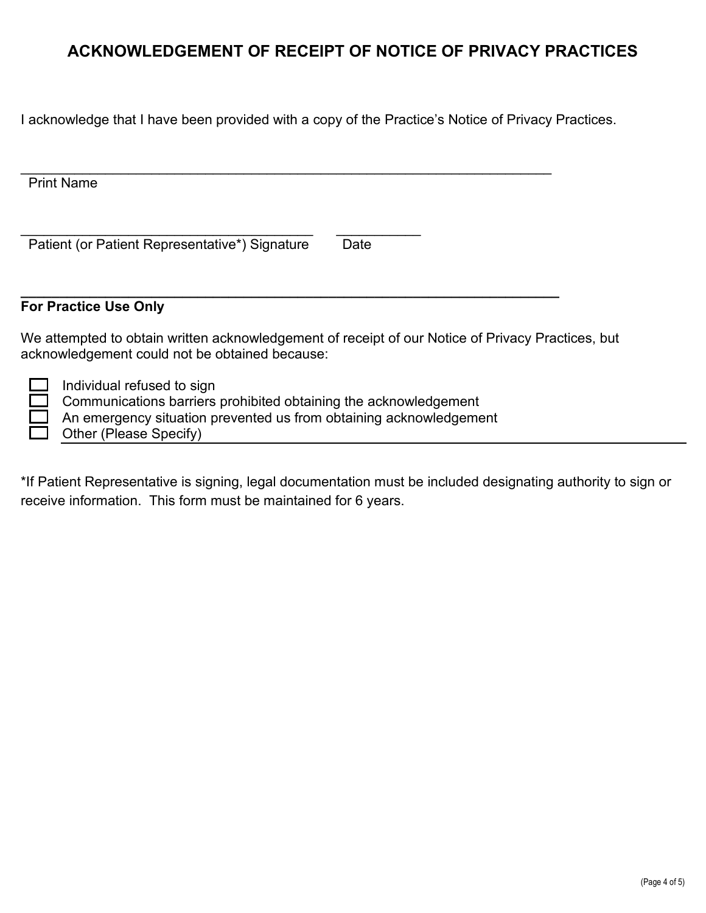# **ACKNOWLEDGEMENT OF RECEIPT OF NOTICE OF PRIVACY PRACTICES**

I acknowledge that I have been provided with a copy of the Practice's Notice of Privacy Practices.

| <b>Print Name</b>                                                                                                                                                    |      |
|----------------------------------------------------------------------------------------------------------------------------------------------------------------------|------|
| Patient (or Patient Representative*) Signature                                                                                                                       | Date |
| <b>For Practice Use Only</b>                                                                                                                                         |      |
| We attempted to obtain written acknowledgement of receipt of our Notice of Privacy Practices, but<br>acknowledgement could not be obtained because:                  |      |
| Individual refused to sign<br>Communications barriers prohibited obtaining the acknowledgement<br>An emergency situation prevented us from obtaining acknowledgement |      |

Other (Please Specify)

 $\Box$ 

\*If Patient Representative is signing, legal documentation must be included designating authority to sign or receive information. This form must be maintained for 6 years.